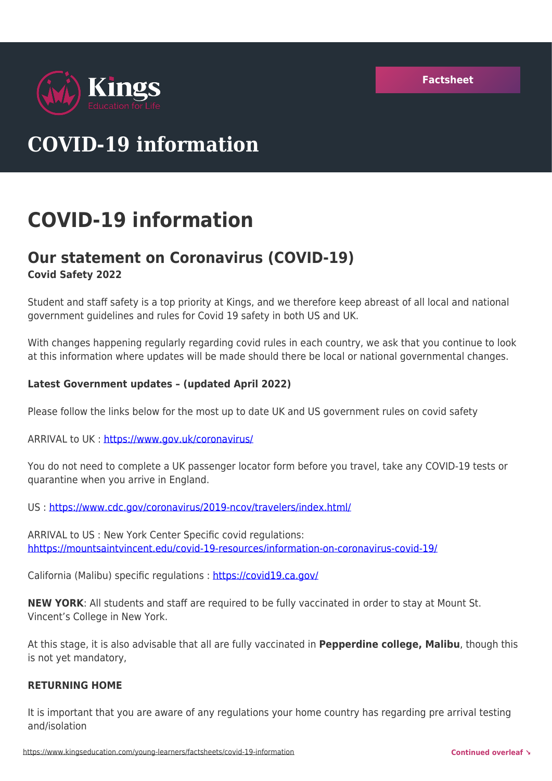

# **COVID-19 information**

## **COVID-19 information**

## **Our statement on Coronavirus (COVID-19) Covid Safety 2022**

Student and staff safety is a top priority at Kings, and we therefore keep abreast of all local and national government guidelines and rules for Covid 19 safety in both US and UK.

With changes happening regularly regarding covid rules in each country, we ask that you continue to look at this information where updates will be made should there be local or national governmental changes.

#### **Latest Government updates – (updated April 2022)**

Please follow the links below for the most up to date UK and US government rules on covid safety

ARRIVAL to UK :<https://www.gov.uk/coronavirus/>

You do not need to complete a UK passenger locator form before you travel, take any COVID-19 tests or quarantine when you arrive in England.

US :<https://www.cdc.gov/coronavirus/2019-ncov/travelers/index.html/>

ARRIVAL to US : New York Center Specific covid regulations: [hhttps://mountsaintvincent.edu/covid-19-resources/information-on-coronavirus-covid-19/](https://www1.nyc.gov/site/doh/covid/covid-19-main.page/)

California (Malibu) specific regulations : <https://covid19.ca.gov/>

**NEW YORK**: All students and staff are required to be fully vaccinated in order to stay at Mount St. Vincent's College in New York.

At this stage, it is also advisable that all are fully vaccinated in **Pepperdine college, Malibu**, though this is not yet mandatory,

#### **RETURNING HOME**

It is important that you are aware of any regulations your home country has regarding pre arrival testing and/isolation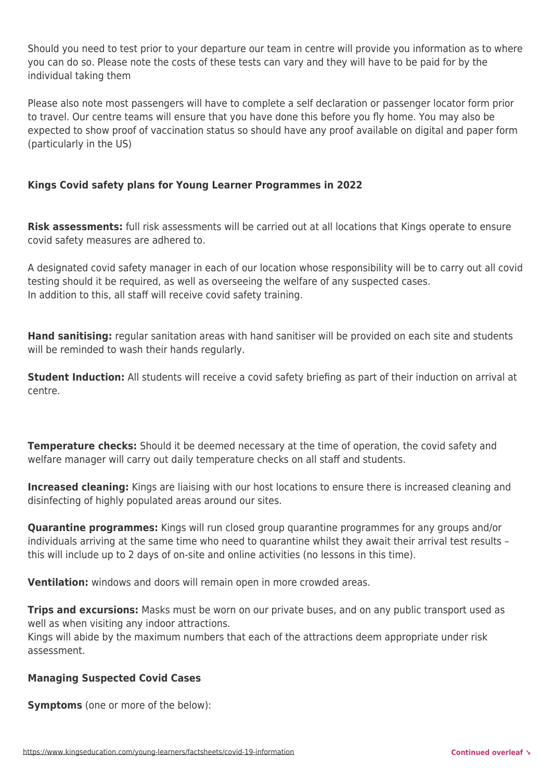Should you need to test prior to your departure our team in centre will provide you information as to where you can do so. Please note the costs of these tests can vary and they will have to be paid for by the individual taking them

Please also note most passengers will have to complete a self declaration or passenger locator form prior to travel. Our centre teams will ensure that you have done this before you fly home. You may also be expected to show proof of vaccination status so should have any proof available on digital and paper form (particularly in the US)

### **Kings Covid safety plans for Young Learner Programmes in 2022**

**Risk assessments:** full risk assessments will be carried out at all locations that Kings operate to ensure covid safety measures are adhered to.

A designated covid safety manager in each of our location whose responsibility will be to carry out all covid testing should it be required, as well as overseeing the welfare of any suspected cases. In addition to this, all staff will receive covid safety training.

**Hand sanitising:** regular sanitation areas with hand sanitiser will be provided on each site and students will be reminded to wash their hands regularly.

**Student Induction:** All students will receive a covid safety briefing as part of their induction on arrival at centre.

**Temperature checks:** Should it be deemed necessary at the time of operation, the covid safety and welfare manager will carry out daily temperature checks on all staff and students.

**Increased cleaning:** Kings are liaising with our host locations to ensure there is increased cleaning and disinfecting of highly populated areas around our sites.

**Quarantine programmes:** Kings will run closed group quarantine programmes for any groups and/or individuals arriving at the same time who need to quarantine whilst they await their arrival test results – this will include up to 2 days of on-site and online activities (no lessons in this time).

**Ventilation:** windows and doors will remain open in more crowded areas.

**Trips and excursions:** Masks must be worn on our private buses, and on any public transport used as well as when visiting any indoor attractions.

Kings will abide by the maximum numbers that each of the attractions deem appropriate under risk assessment.

#### **Managing Suspected Covid Cases**

**Symptoms** (one or more of the below):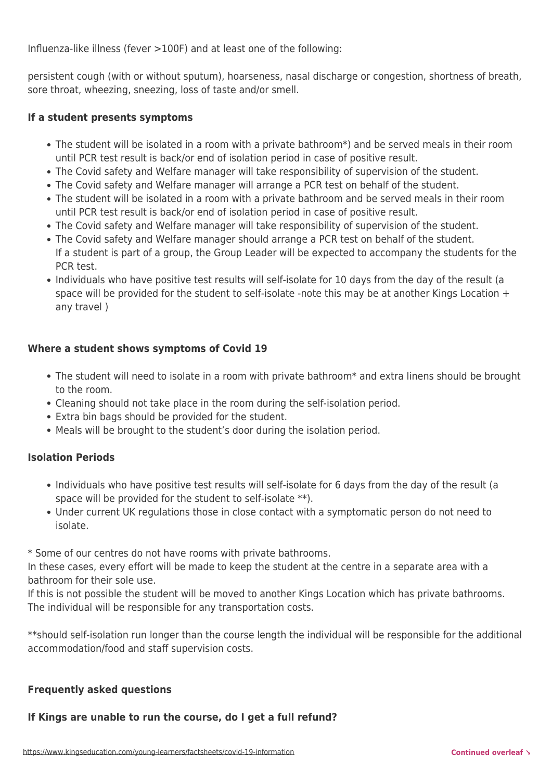Influenza-like illness (fever >100F) and at least one of the following:

persistent cough (with or without sputum), hoarseness, nasal discharge or congestion, shortness of breath, sore throat, wheezing, sneezing, loss of taste and/or smell.

#### **If a student presents symptoms**

- The student will be isolated in a room with a private bathroom\*) and be served meals in their room until PCR test result is back/or end of isolation period in case of positive result.
- The Covid safety and Welfare manager will take responsibility of supervision of the student.
- The Covid safety and Welfare manager will arrange a PCR test on behalf of the student.
- The student will be isolated in a room with a private bathroom and be served meals in their room until PCR test result is back/or end of isolation period in case of positive result.
- The Covid safety and Welfare manager will take responsibility of supervision of the student.
- The Covid safety and Welfare manager should arrange a PCR test on behalf of the student. If a student is part of a group, the Group Leader will be expected to accompany the students for the PCR test.
- Individuals who have positive test results will self-isolate for 10 days from the day of the result (a space will be provided for the student to self-isolate -note this may be at another Kings Location  $+$ any travel )

#### **Where a student shows symptoms of Covid 19**

- The student will need to isolate in a room with private bathroom\* and extra linens should be brought to the room.
- Cleaning should not take place in the room during the self-isolation period.
- Extra bin bags should be provided for the student.
- Meals will be brought to the student's door during the isolation period.

#### **Isolation Periods**

- Individuals who have positive test results will self-isolate for 6 days from the day of the result (a space will be provided for the student to self-isolate \*\*).
- Under current UK regulations those in close contact with a symptomatic person do not need to isolate.

\* Some of our centres do not have rooms with private bathrooms.

In these cases, every effort will be made to keep the student at the centre in a separate area with a bathroom for their sole use.

If this is not possible the student will be moved to another Kings Location which has private bathrooms. The individual will be responsible for any transportation costs.

\*\*should self-isolation run longer than the course length the individual will be responsible for the additional accommodation/food and staff supervision costs.

#### **Frequently asked questions**

**If Kings are unable to run the course, do I get a full refund?**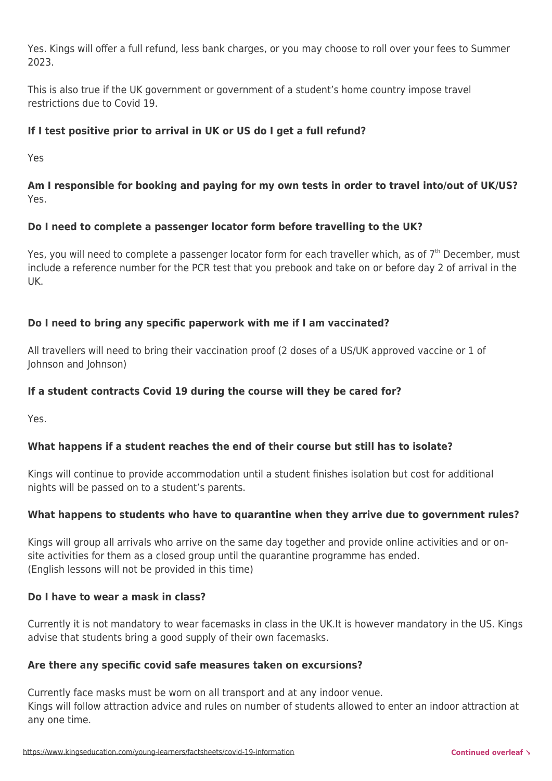Yes. Kings will offer a full refund, less bank charges, or you may choose to roll over your fees to Summer 2023.

This is also true if the UK government or government of a student's home country impose travel restrictions due to Covid 19.

## **If I test positive prior to arrival in UK or US do I get a full refund?**

Yes

## **Am I responsible for booking and paying for my own tests in order to travel into/out of UK/US?** Yes.

## **Do I need to complete a passenger locator form before travelling to the UK?**

Yes, you will need to complete a passenger locator form for each traveller which, as of 7<sup>th</sup> December, must include a reference number for the PCR test that you prebook and take on or before day 2 of arrival in the UK.

## **Do I need to bring any specific paperwork with me if I am vaccinated?**

All travellers will need to bring their vaccination proof (2 doses of a US/UK approved vaccine or 1 of Johnson and Johnson)

## **If a student contracts Covid 19 during the course will they be cared for?**

Yes.

## **What happens if a student reaches the end of their course but still has to isolate?**

Kings will continue to provide accommodation until a student finishes isolation but cost for additional nights will be passed on to a student's parents.

## **What happens to students who have to quarantine when they arrive due to government rules?**

Kings will group all arrivals who arrive on the same day together and provide online activities and or onsite activities for them as a closed group until the quarantine programme has ended. (English lessons will not be provided in this time)

#### **Do I have to wear a mask in class?**

Currently it is not mandatory to wear facemasks in class in the UK.It is however mandatory in the US. Kings advise that students bring a good supply of their own facemasks.

#### **Are there any specific covid safe measures taken on excursions?**

Currently face masks must be worn on all transport and at any indoor venue. Kings will follow attraction advice and rules on number of students allowed to enter an indoor attraction at any one time.